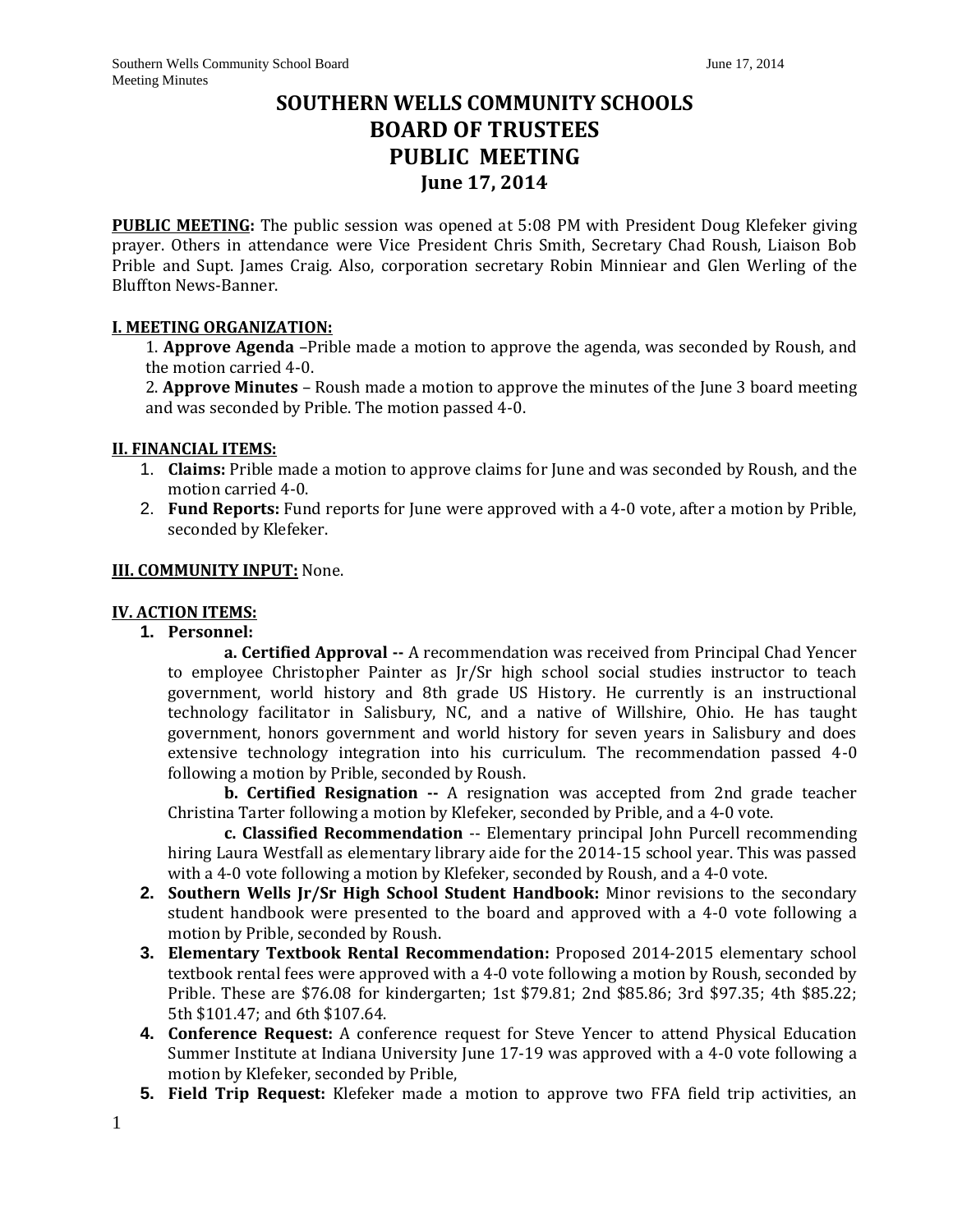# **SOUTHERN WELLS COMMUNITY SCHOOLS BOARD OF TRUSTEES PUBLIC MEETING June 17, 2014**

**PUBLIC MEETING:** The public session was opened at 5:08 PM with President Doug Klefeker giving prayer. Others in attendance were Vice President Chris Smith, Secretary Chad Roush, Liaison Bob Prible and Supt. James Craig. Also, corporation secretary Robin Minniear and Glen Werling of the Bluffton News-Banner.

## **I. MEETING ORGANIZATION:**

1. **Approve Agenda** –Prible made a motion to approve the agenda, was seconded by Roush, and the motion carried 4-0.

2. **Approve Minutes** – Roush made a motion to approve the minutes of the June 3 board meeting and was seconded by Prible. The motion passed 4-0.

## **II. FINANCIAL ITEMS:**

- 1. **Claims:** Prible made a motion to approve claims for June and was seconded by Roush, and the motion carried 4-0.
- 2. **Fund Reports:** Fund reports for June were approved with a 4-0 vote, after a motion by Prible, seconded by Klefeker.

## **III. COMMUNITY INPUT:** None.

## **IV. ACTION ITEMS:**

**1. Personnel:**

**a. Certified Approval --** A recommendation was received from Principal Chad Yencer to employee Christopher Painter as Jr/Sr high school social studies instructor to teach government, world history and 8th grade US History. He currently is an instructional technology facilitator in Salisbury, NC, and a native of Willshire, Ohio. He has taught government, honors government and world history for seven years in Salisbury and does extensive technology integration into his curriculum. The recommendation passed 4-0 following a motion by Prible, seconded by Roush.

**b. Certified Resignation --** A resignation was accepted from 2nd grade teacher Christina Tarter following a motion by Klefeker, seconded by Prible, and a 4-0 vote.

**c. Classified Recommendation** -- Elementary principal John Purcell recommending hiring Laura Westfall as elementary library aide for the 2014-15 school year. This was passed with a 4-0 vote following a motion by Klefeker, seconded by Roush, and a 4-0 vote.

- **2. Southern Wells Jr/Sr High School Student Handbook:** Minor revisions to the secondary student handbook were presented to the board and approved with a 4-0 vote following a motion by Prible, seconded by Roush.
- **3. Elementary Textbook Rental Recommendation:** Proposed 2014-2015 elementary school textbook rental fees were approved with a 4-0 vote following a motion by Roush, seconded by Prible. These are \$76.08 for kindergarten; 1st \$79.81; 2nd \$85.86; 3rd \$97.35; 4th \$85.22; 5th \$101.47; and 6th \$107.64.
- **4. Conference Request:** A conference request for Steve Yencer to attend Physical Education Summer Institute at Indiana University June 17-19 was approved with a 4-0 vote following a motion by Klefeker, seconded by Prible,
- **5. Field Trip Request:** Klefeker made a motion to approve two FFA field trip activities, an